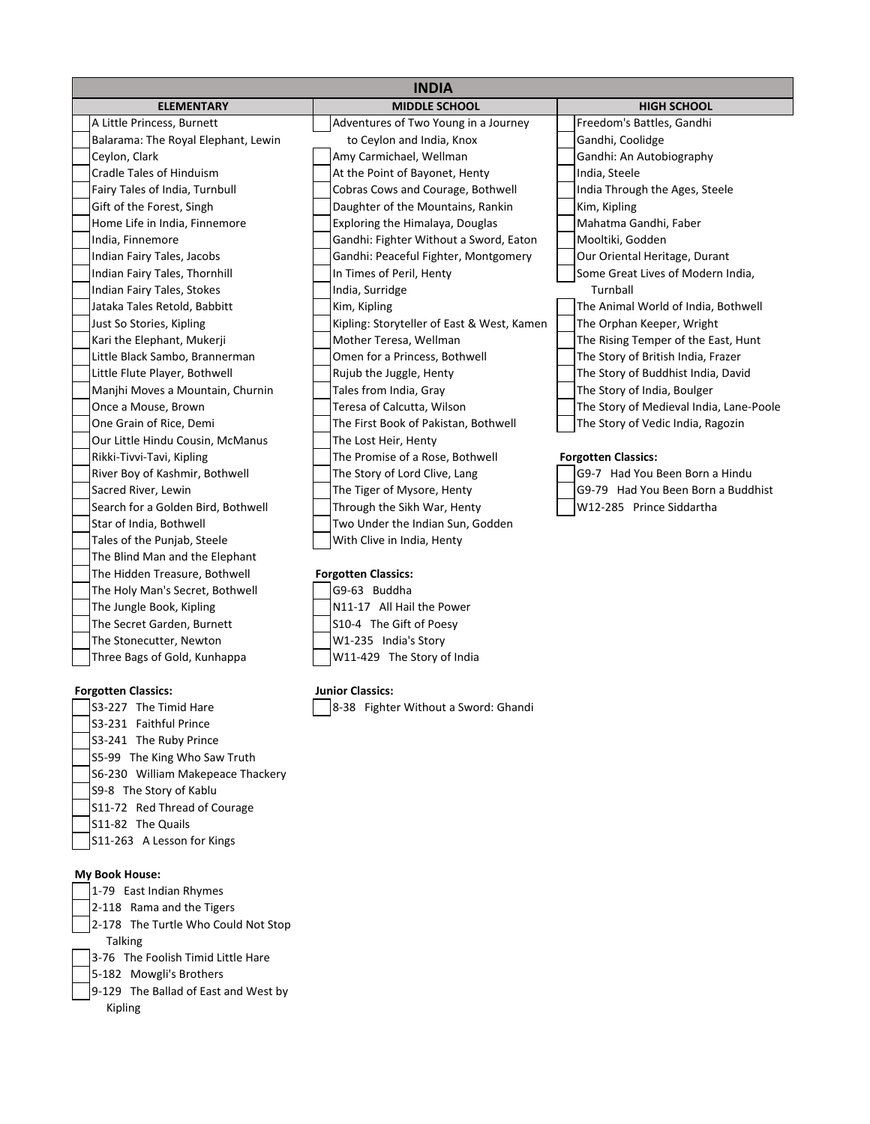| <b>INDIA</b>                        |                                            |                                         |  |
|-------------------------------------|--------------------------------------------|-----------------------------------------|--|
| <b>ELEMENTARY</b>                   | <b>MIDDLE SCHOOL</b>                       | <b>HIGH SCHOOL</b>                      |  |
| A Little Princess, Burnett          | Adventures of Two Young in a Journey       | Freedom's Battles, Gandhi               |  |
| Balarama: The Royal Elephant, Lewin | to Ceylon and India, Knox                  | Gandhi, Coolidge                        |  |
| Ceylon, Clark                       | Amy Carmichael, Wellman                    | Gandhi: An Autobiography                |  |
| Cradle Tales of Hinduism            | At the Point of Bayonet, Henty             | India, Steele                           |  |
| Fairy Tales of India, Turnbull      | Cobras Cows and Courage, Bothwell          | India Through the Ages, Steele          |  |
| Gift of the Forest, Singh           | Daughter of the Mountains, Rankin          | Kim, Kipling                            |  |
| Home Life in India, Finnemore       | Exploring the Himalaya, Douglas            | Mahatma Gandhi, Faber                   |  |
| India, Finnemore                    | Gandhi: Fighter Without a Sword, Eaton     | Mooltiki, Godden                        |  |
| Indian Fairy Tales, Jacobs          | Gandhi: Peaceful Fighter, Montgomery       | Our Oriental Heritage, Durant           |  |
| Indian Fairy Tales, Thornhill       | In Times of Peril, Henty                   | Some Great Lives of Modern India,       |  |
| Indian Fairy Tales, Stokes          | India, Surridge                            | Turnball                                |  |
| Jataka Tales Retold, Babbitt        | Kim, Kipling                               | The Animal World of India, Bothwell     |  |
| Just So Stories, Kipling            | Kipling: Storyteller of East & West, Kamen | The Orphan Keeper, Wright               |  |
| Kari the Elephant, Mukerji          | Mother Teresa, Wellman                     | The Rising Temper of the East, Hunt     |  |
| Little Black Sambo, Brannerman      | Omen for a Princess, Bothwell              | The Story of British India, Frazer      |  |
| Little Flute Player, Bothwell       | Rujub the Juggle, Henty                    | The Story of Buddhist India, David      |  |
| Manjhi Moves a Mountain, Churnin    | Tales from India, Gray                     | The Story of India, Boulger             |  |
| Once a Mouse, Brown                 | Teresa of Calcutta, Wilson                 | The Story of Medieval India, Lane-Poole |  |
| One Grain of Rice, Demi             | The First Book of Pakistan, Bothwell       | The Story of Vedic India, Ragozin       |  |
| Our Little Hindu Cousin, McManus    | The Lost Heir, Henty                       |                                         |  |
| Rikki-Tivvi-Tavi, Kipling           | The Promise of a Rose, Bothwell            | <b>Forgotten Classics:</b>              |  |
| River Boy of Kashmir, Bothwell      | The Story of Lord Clive, Lang              | G9-7 Had You Been Born a Hindu          |  |
| Sacred River, Lewin                 | The Tiger of Mysore, Henty                 | G9-79 Had You Been Born a Buddhist      |  |
| Search for a Golden Bird, Bothwell  | Through the Sikh War, Henty                | W12-285 Prince Siddartha                |  |
| Star of India, Bothwell             | Two Under the Indian Sun, Godden           |                                         |  |
| Tales of the Punjab, Steele         | With Clive in India, Henty                 |                                         |  |
| The Blind Man and the Elephant      |                                            |                                         |  |
| The Hidden Treasure, Bothwell       | <b>Forgotten Classics:</b>                 |                                         |  |
| The Holy Man's Secret, Bothwell     | G9-63 Buddha                               |                                         |  |
| The Jungle Book, Kipling            | N11-17 All Hail the Power                  |                                         |  |
| The Secret Garden, Burnett          | S10-4 The Gift of Poesy                    |                                         |  |

The Stonecutter, Newton M1-235 India's Story Three Bags of Gold, Kunhappa  $\Box$ W11-429 The Story of India

## **Forgotten Classics:**

S3-231 Faithful Prince S3-241 The Ruby Prince S5-99 The King Who Saw Truth S6-230 William Makepeace Thackery S9-8 The Story of Kablu S11-72 Red Thread of Courage S11-82 The Quails S11-263 A Lesson for Kings

## **My Book House:**

- 1-79 East Indian Rhymes 2-118 Rama and the Tigers 2-178 The Turtle Who Could Not Stop Talking 3-76 The Foolish Timid Little Hare 5-182 Mowgli's Brothers
- 9-129 The Ballad of East and West by
	- Kipling

## **Junior Classics:**

S3-227 The Timid Hare  $\sqrt{8-38}$  Fighter Without a Sword: Ghandi